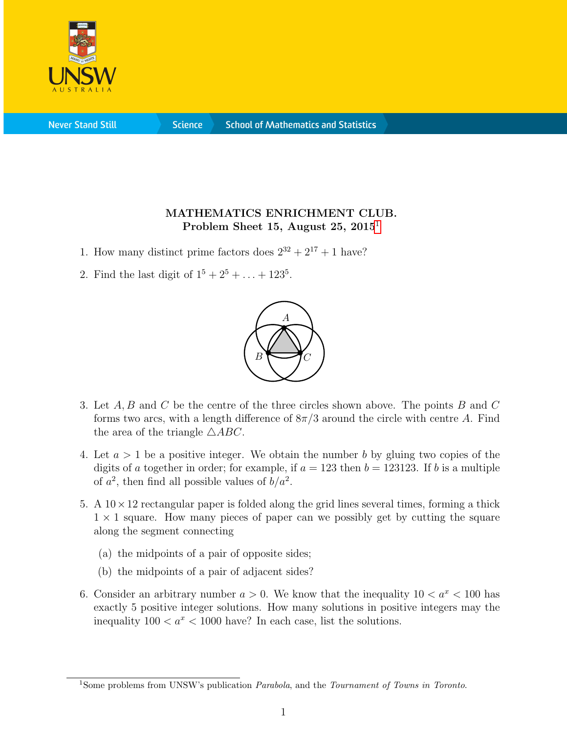

**Never Stand Still** 

**Science** 

## MATHEMATICS ENRICHMENT CLUB. Problem Sheet [1](#page-0-0)5, August 25, 2015<sup>1</sup>

- 1. How many distinct prime factors does  $2^{32} + 2^{17} + 1$  have?
- 2. Find the last digit of  $1^5 + 2^5 + ... + 123^5$ .



- 3. Let A, B and C be the centre of the three circles shown above. The points B and C forms two arcs, with a length difference of  $8\pi/3$  around the circle with centre A. Find the area of the triangle  $\triangle ABC$ .
- 4. Let  $a > 1$  be a positive integer. We obtain the number b by gluing two copies of the digits of a together in order; for example, if  $a = 123$  then  $b = 123123$ . If b is a multiple of  $a^2$ , then find all possible values of  $b/a^2$ .
- 5. A  $10 \times 12$  rectangular paper is folded along the grid lines several times, forming a thick  $1 \times 1$  square. How many pieces of paper can we possibly get by cutting the square along the segment connecting
	- (a) the midpoints of a pair of opposite sides;
	- (b) the midpoints of a pair of adjacent sides?
- 6. Consider an arbitrary number  $a > 0$ . We know that the inequality  $10 < a^x < 100$  has exactly 5 positive integer solutions. How many solutions in positive integers may the inequality  $100 < a^x < 1000$  have? In each case, list the solutions.

<span id="page-0-0"></span><sup>&</sup>lt;sup>1</sup>Some problems from UNSW's publication *Parabola*, and the *Tournament of Towns in Toronto*.